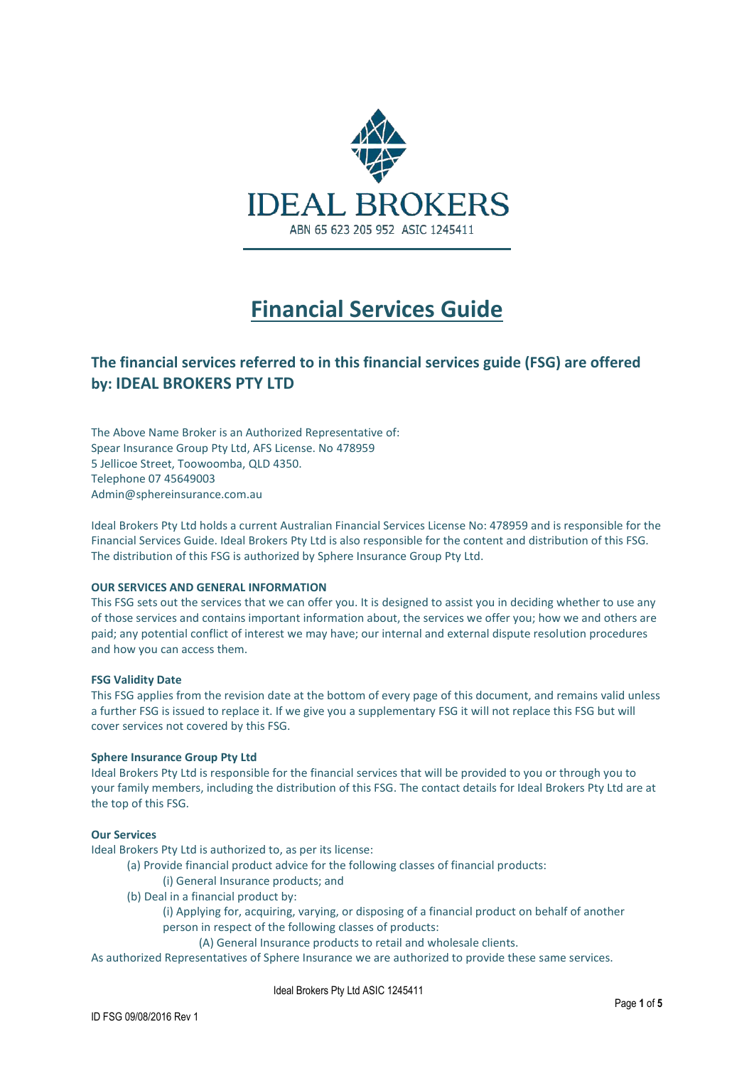

# **Financial Services Guide**

### **The financial services referred to in this financial services guide (FSG) are offered by: IDEAL BROKERS PTY LTD**

The Above Name Broker is an Authorized Representative of: Spear Insurance Group Pty Ltd, AFS License. No 478959 5 Jellicoe Street, Toowoomba, QLD 4350. Telephone 07 45649003 Admin@sphereinsurance.com.au

Ideal Brokers Pty Ltd holds a current Australian Financial Services License No: 478959 and is responsible for the Financial Services Guide. Ideal Brokers Pty Ltd is also responsible for the content and distribution of this FSG. The distribution of this FSG is authorized by Sphere Insurance Group Pty Ltd.

#### **OUR SERVICES AND GENERAL INFORMATION**

This FSG sets out the services that we can offer you. It is designed to assist you in deciding whether to use any of those services and contains important information about, the services we offer you; how we and others are paid; any potential conflict of interest we may have; our internal and external dispute resolution procedures and how you can access them.

#### **FSG Validity Date**

This FSG applies from the revision date at the bottom of every page of this document, and remains valid unless a further FSG is issued to replace it. If we give you a supplementary FSG it will not replace this FSG but will cover services not covered by this FSG.

#### **Sphere Insurance Group Pty Ltd**

Ideal Brokers Pty Ltd is responsible for the financial services that will be provided to you or through you to your family members, including the distribution of this FSG. The contact details for Ideal Brokers Pty Ltd are at the top of this FSG.

#### **Our Services**

Ideal Brokers Pty Ltd is authorized to, as per its license:

- (a) Provide financial product advice for the following classes of financial products:
	- (i) General Insurance products; and
- (b) Deal in a financial product by:
	- (i) Applying for, acquiring, varying, or disposing of a financial product on behalf of another person in respect of the following classes of products:
		- (A) General Insurance products to retail and wholesale clients.

As authorized Representatives of Sphere Insurance we are authorized to provide these same services.

Ideal Brokers Pty Ltd ASIC 1245411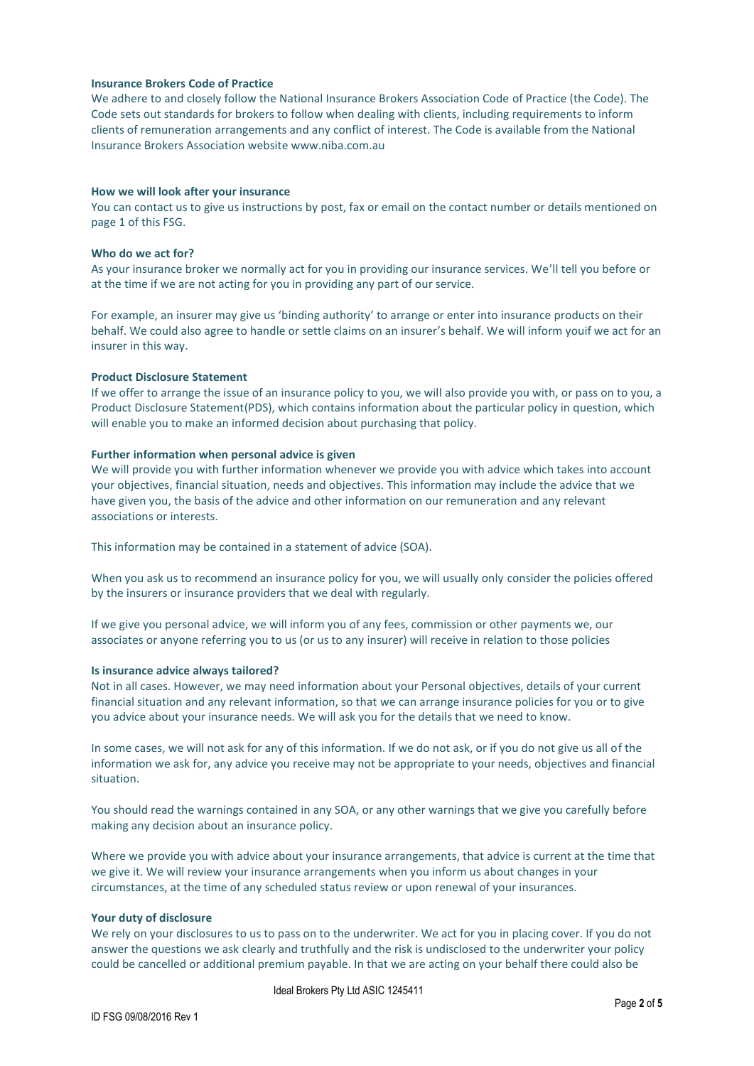#### **Insurance Brokers Code of Practice**

We adhere to and closely follow the National Insurance Brokers Association Code of Practice (the Code). The Code sets out standards for brokers to follow when dealing with clients, including requirements to inform clients of remuneration arrangements and any conflict of interest. The Code is available from the National Insurance Brokers Association website www.niba.com.au

#### **How we will look after your insurance**

You can contact us to give us instructions by post, fax or email on the contact number or details mentioned on page 1 of this FSG.

#### **Who do we act for?**

As your insurance broker we normally act for you in providing our insurance services. We'll tell you before or at the time if we are not acting for you in providing any part of our service.

For example, an insurer may give us 'binding authority' to arrange or enter into insurance products on their behalf. We could also agree to handle or settle claims on an insurer's behalf. We will inform youif we act for an insurer in this way.

#### **Product Disclosure Statement**

If we offer to arrange the issue of an insurance policy to you, we will also provide you with, or pass on to you, a Product Disclosure Statement(PDS), which contains information about the particular policy in question, which will enable you to make an informed decision about purchasing that policy.

#### **Further information when personal advice is given**

We will provide you with further information whenever we provide you with advice which takes into account your objectives, financial situation, needs and objectives. This information may include the advice that we have given you, the basis of the advice and other information on our remuneration and any relevant associations or interests.

This information may be contained in a statement of advice (SOA).

When you ask us to recommend an insurance policy for you, we will usually only consider the policies offered by the insurers or insurance providers that we deal with regularly.

If we give you personal advice, we will inform you of any fees, commission or other payments we, our associates or anyone referring you to us (or us to any insurer) will receive in relation to those policies

#### **Is insurance advice always tailored?**

Not in all cases. However, we may need information about your Personal objectives, details of your current financial situation and any relevant information, so that we can arrange insurance policies for you or to give you advice about your insurance needs. We will ask you for the details that we need to know.

In some cases, we will not ask for any of this information. If we do not ask, or if you do not give us all of the information we ask for, any advice you receive may not be appropriate to your needs, objectives and financial situation.

You should read the warnings contained in any SOA, or any other warnings that we give you carefully before making any decision about an insurance policy.

Where we provide you with advice about your insurance arrangements, that advice is current at the time that we give it. We will review your insurance arrangements when you inform us about changes in your circumstances, at the time of any scheduled status review or upon renewal of your insurances.

#### **Your duty of disclosure**

We rely on your disclosures to us to pass on to the underwriter. We act for you in placing cover. If you do not answer the questions we ask clearly and truthfully and the risk is undisclosed to the underwriter your policy could be cancelled or additional premium payable. In that we are acting on your behalf there could also be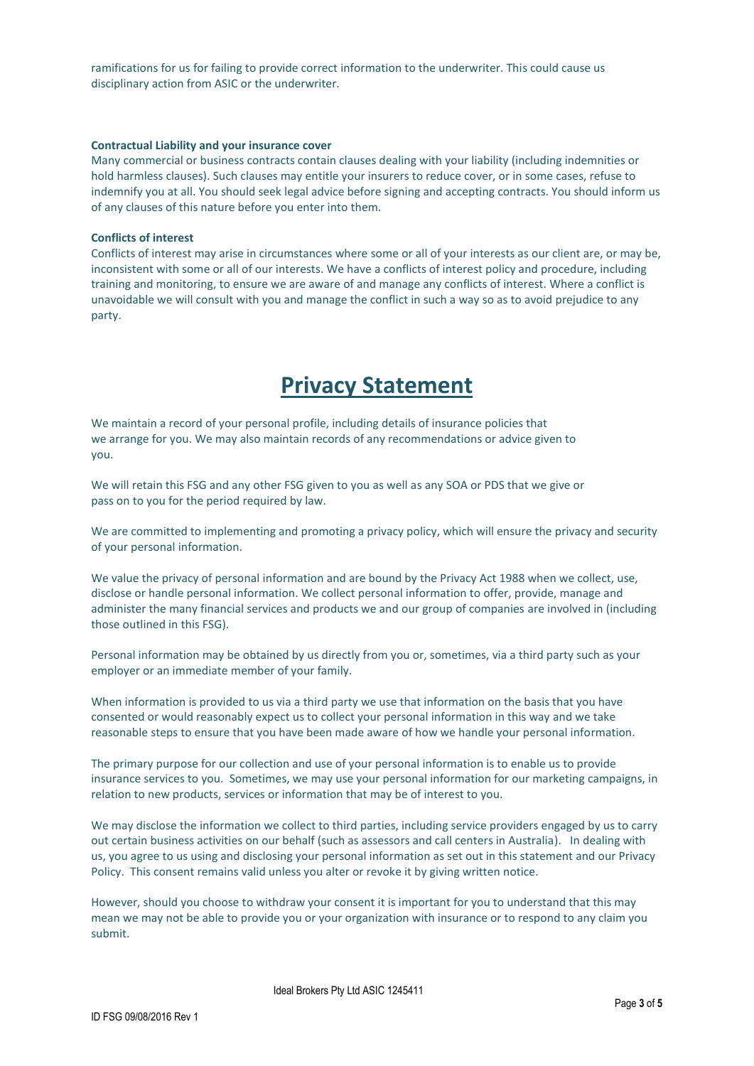ramifications for us for failing to provide correct information to the underwriter. This could cause us disciplinary action from ASIC or the underwriter.

#### **Contractual Liability and your insurance cover**

Many commercial or business contracts contain clauses dealing with your liability (including indemnities or hold harmless clauses). Such clauses may entitle your insurers to reduce cover, or in some cases, refuse to indemnify you at all. You should seek legal advice before signing and accepting contracts. You should inform us of any clauses of this nature before you enter into them.

#### **Conflicts of interest**

Conflicts of interest may arise in circumstances where some or all of your interests as our client are, or may be, inconsistent with some or all of our interests. We have a conflicts of interest policy and procedure, including training and monitoring, to ensure we are aware of and manage any conflicts of interest. Where a conflict is unavoidable we will consult with you and manage the conflict in such a way so as to avoid prejudice to any party.

## **Privacy Statement**

We maintain a record of your personal profile, including details of insurance policies that we arrange for you. We may also maintain records of any recommendations or advice given to you.

We will retain this FSG and any other FSG given to you as well as any SOA or PDS that we give or pass on to you for the period required by law.

We are committed to implementing and promoting a privacy policy, which will ensure the privacy and security of your personal information.

We value the privacy of personal information and are bound by the Privacy Act 1988 when we collect, use, disclose or handle personal information. We collect personal information to offer, provide, manage and administer the many financial services and products we and our group of companies are involved in (including those outlined in this FSG).

Personal information may be obtained by us directly from you or, sometimes, via a third party such as your employer or an immediate member of your family.

When information is provided to us via a third party we use that information on the basis that you have consented or would reasonably expect us to collect your personal information in this way and we take reasonable steps to ensure that you have been made aware of how we handle your personal information.

The primary purpose for our collection and use of your personal information is to enable us to provide insurance services to you. Sometimes, we may use your personal information for our marketing campaigns, in relation to new products, services or information that may be of interest to you.

We may disclose the information we collect to third parties, including service providers engaged by us to carry out certain business activities on our behalf (such as assessors and call centers in Australia). In dealing with us, you agree to us using and disclosing your personal information as set out in this statement and our Privacy Policy. This consent remains valid unless you alter or revoke it by giving written notice.

However, should you choose to withdraw your consent it is important for you to understand that this may mean we may not be able to provide you or your organization with insurance or to respond to any claim you submit.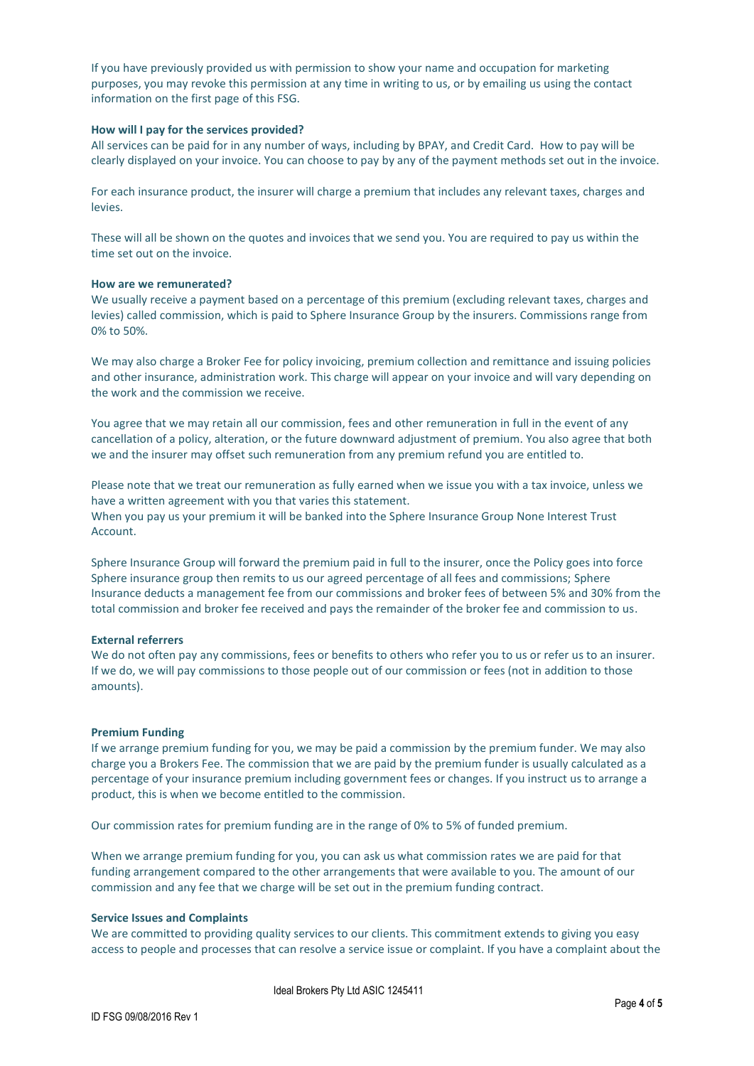If you have previously provided us with permission to show your name and occupation for marketing purposes, you may revoke this permission at any time in writing to us, or by emailing us using the contact information on the first page of this FSG.

#### **How will I pay for the services provided?**

All services can be paid for in any number of ways, including by BPAY, and Credit Card. How to pay will be clearly displayed on your invoice. You can choose to pay by any of the payment methods set out in the invoice.

For each insurance product, the insurer will charge a premium that includes any relevant taxes, charges and levies.

These will all be shown on the quotes and invoices that we send you. You are required to pay us within the time set out on the invoice.

#### **How are we remunerated?**

We usually receive a payment based on a percentage of this premium (excluding relevant taxes, charges and levies) called commission, which is paid to Sphere Insurance Group by the insurers. Commissions range from 0% to 50%.

We may also charge a Broker Fee for policy invoicing, premium collection and remittance and issuing policies and other insurance, administration work. This charge will appear on your invoice and will vary depending on the work and the commission we receive.

You agree that we may retain all our commission, fees and other remuneration in full in the event of any cancellation of a policy, alteration, or the future downward adjustment of premium. You also agree that both we and the insurer may offset such remuneration from any premium refund you are entitled to.

Please note that we treat our remuneration as fully earned when we issue you with a tax invoice, unless we have a written agreement with you that varies this statement. When you pay us your premium it will be banked into the Sphere Insurance Group None Interest Trust Account.

Sphere Insurance Group will forward the premium paid in full to the insurer, once the Policy goes into force Sphere insurance group then remits to us our agreed percentage of all fees and commissions; Sphere Insurance deducts a management fee from our commissions and broker fees of between 5% and 30% from the total commission and broker fee received and pays the remainder of the broker fee and commission to us.

#### **External referrers**

We do not often pay any commissions, fees or benefits to others who refer you to us or refer us to an insurer. If we do, we will pay commissions to those people out of our commission or fees (not in addition to those amounts).

#### **Premium Funding**

If we arrange premium funding for you, we may be paid a commission by the premium funder. We may also charge you a Brokers Fee. The commission that we are paid by the premium funder is usually calculated as a percentage of your insurance premium including government fees or changes. If you instruct us to arrange a product, this is when we become entitled to the commission.

Our commission rates for premium funding are in the range of 0% to 5% of funded premium.

When we arrange premium funding for you, you can ask us what commission rates we are paid for that funding arrangement compared to the other arrangements that were available to you. The amount of our commission and any fee that we charge will be set out in the premium funding contract.

#### **Service Issues and Complaints**

We are committed to providing quality services to our clients. This commitment extends to giving you easy access to people and processes that can resolve a service issue or complaint. If you have a complaint about the